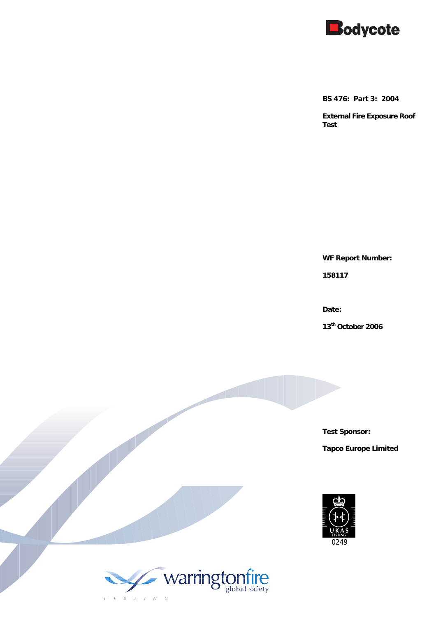

**BS 476: Part 3: 2004** 

**External Fire Exposure Roof Test** 

**WF Report Number:** 

**158117** 

**Date:** 

**13th October 2006** 

**Test Sponsor:** 

**Tapco Europe Limited** 



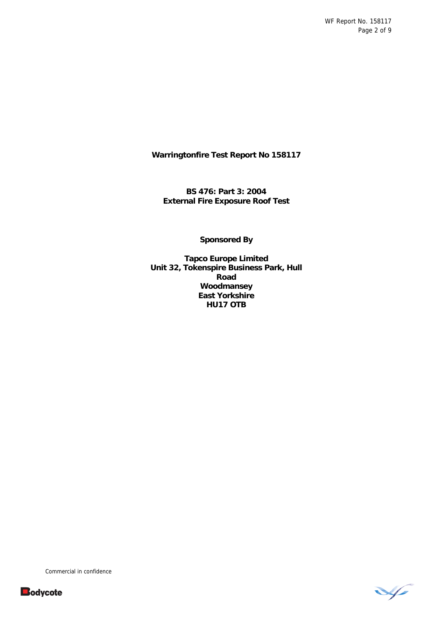WF Report No. 158117 Page 2 of 9

**Warringtonfire Test Report No 158117** 

**BS 476: Part 3: 2004 External Fire Exposure Roof Test**

**Sponsored By** 

**Tapco Europe Limited Unit 32, Tokenspire Business Park, Hull Road Woodmansey East Yorkshire HU17 OTB** 



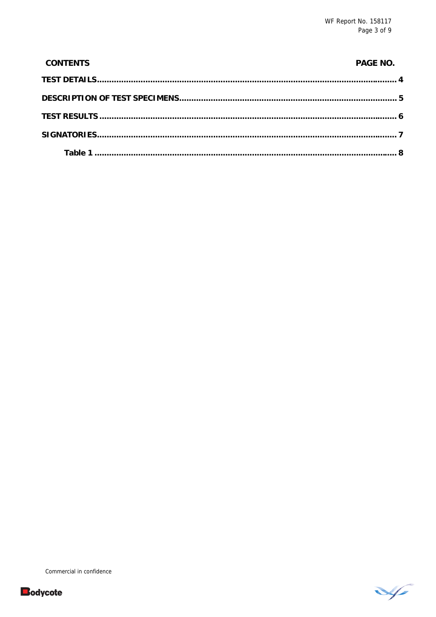| <b>CONTENTS</b> | <b>PAGE NO.</b> |
|-----------------|-----------------|
|                 |                 |
|                 |                 |
|                 |                 |
|                 |                 |
|                 |                 |



V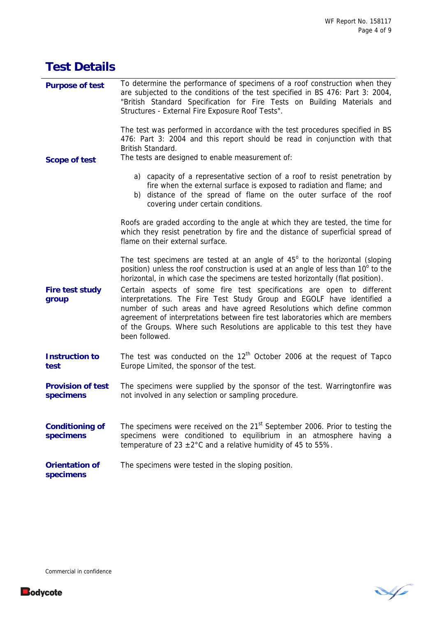V

| <b>Test Details</b>                   |                                                                                                                                                                                                                                                                                                                                                                                                                                                                                                                                                                                                                                                                            |
|---------------------------------------|----------------------------------------------------------------------------------------------------------------------------------------------------------------------------------------------------------------------------------------------------------------------------------------------------------------------------------------------------------------------------------------------------------------------------------------------------------------------------------------------------------------------------------------------------------------------------------------------------------------------------------------------------------------------------|
| <b>Purpose of test</b>                | To determine the performance of specimens of a roof construction when they<br>are subjected to the conditions of the test specified in BS 476: Part 3: 2004,<br>"British Standard Specification for Fire Tests on Building Materials and<br>Structures - External Fire Exposure Roof Tests".                                                                                                                                                                                                                                                                                                                                                                               |
| <b>Scope of test</b>                  | The test was performed in accordance with the test procedures specified in BS<br>476: Part 3: 2004 and this report should be read in conjunction with that<br>British Standard.<br>The tests are designed to enable measurement of:                                                                                                                                                                                                                                                                                                                                                                                                                                        |
|                                       | a) capacity of a representative section of a roof to resist penetration by<br>fire when the external surface is exposed to radiation and flame; and<br>b) distance of the spread of flame on the outer surface of the roof<br>covering under certain conditions.                                                                                                                                                                                                                                                                                                                                                                                                           |
|                                       | Roofs are graded according to the angle at which they are tested, the time for<br>which they resist penetration by fire and the distance of superficial spread of<br>flame on their external surface.                                                                                                                                                                                                                                                                                                                                                                                                                                                                      |
| <b>Fire test study</b><br>group       | The test specimens are tested at an angle of $45^\circ$ to the horizontal (sloping<br>position) unless the roof construction is used at an angle of less than 10° to the<br>horizontal, in which case the specimens are tested horizontally (flat position).<br>Certain aspects of some fire test specifications are open to different<br>interpretations. The Fire Test Study Group and EGOLF have identified a<br>number of such areas and have agreed Resolutions which define common<br>agreement of interpretations between fire test laboratories which are members<br>of the Groups. Where such Resolutions are applicable to this test they have<br>been followed. |
| <b>Instruction to</b><br>test         | The test was conducted on the $12th$ October 2006 at the request of Tapco<br>Europe Limited, the sponsor of the test.                                                                                                                                                                                                                                                                                                                                                                                                                                                                                                                                                      |
| <b>Provision of test</b><br>specimens | The specimens were supplied by the sponsor of the test. Warringtonfire was<br>not involved in any selection or sampling procedure.                                                                                                                                                                                                                                                                                                                                                                                                                                                                                                                                         |
| <b>Conditioning of</b><br>specimens   | The specimens were received on the 21 <sup>st</sup> September 2006. Prior to testing the<br>specimens were conditioned to equilibrium in an atmosphere having a<br>temperature of 23 $\pm$ 2°C and a relative humidity of 45 to 55%.                                                                                                                                                                                                                                                                                                                                                                                                                                       |
| <b>Orientation of</b><br>specimens    | The specimens were tested in the sloping position.                                                                                                                                                                                                                                                                                                                                                                                                                                                                                                                                                                                                                         |

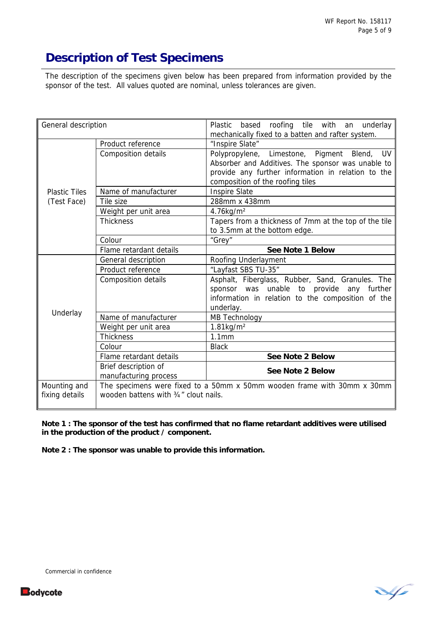# **Description of Test Specimens**

The description of the specimens given below has been prepared from information provided by the sponsor of the test. All values quoted are nominal, unless tolerances are given.

| General description            |                                               | Plastic based roofing tile with an underlay<br>mechanically fixed to a batten and rafter system.                                                                                                     |
|--------------------------------|-----------------------------------------------|------------------------------------------------------------------------------------------------------------------------------------------------------------------------------------------------------|
|                                | Product reference                             | "Inspire Slate"                                                                                                                                                                                      |
|                                | <b>Composition details</b>                    | Polypropylene, Limestone, Pigment Blend,<br><b>UV</b><br>Absorber and Additives. The sponsor was unable to<br>provide any further information in relation to the<br>composition of the roofing tiles |
| <b>Plastic Tiles</b>           | Name of manufacturer                          | <b>Inspire Slate</b>                                                                                                                                                                                 |
| (Test Face)                    | Tile size                                     | 288mm x 438mm                                                                                                                                                                                        |
|                                | Weight per unit area                          | 4.76kg/m <sup>2</sup>                                                                                                                                                                                |
|                                | <b>Thickness</b>                              | Tapers from a thickness of 7mm at the top of the tile<br>to 3.5mm at the bottom edge.                                                                                                                |
|                                | Colour                                        | "Grey"                                                                                                                                                                                               |
|                                | Flame retardant details                       | See Note 1 Below                                                                                                                                                                                     |
| Underlay                       | General description                           | Roofing Underlayment                                                                                                                                                                                 |
|                                | Product reference                             | "Layfast SBS TU-35"                                                                                                                                                                                  |
|                                | Composition details                           | Asphalt, Fiberglass, Rubber, Sand, Granules. The<br>sponsor was unable to provide<br>any further<br>information in relation to the composition of the<br>underlay.                                   |
|                                | Name of manufacturer                          | MB Technology                                                                                                                                                                                        |
|                                | Weight per unit area                          | $1.81$ kg/m <sup>2</sup>                                                                                                                                                                             |
|                                | <b>Thickness</b>                              | 1.1mm                                                                                                                                                                                                |
|                                | Colour                                        | <b>Black</b>                                                                                                                                                                                         |
|                                | Flame retardant details                       | See Note 2 Below                                                                                                                                                                                     |
|                                | Brief description of<br>manufacturing process | See Note 2 Below                                                                                                                                                                                     |
| Mounting and<br>fixing details | wooden battens with 3/4" clout nails.         | The specimens were fixed to a 50mm x 50mm wooden frame with 30mm x 30mm                                                                                                                              |

**Note 1 : The sponsor of the test has confirmed that no flame retardant additives were utilised in the production of the product / component.** 

**Note 2 : The sponsor was unable to provide this information.**



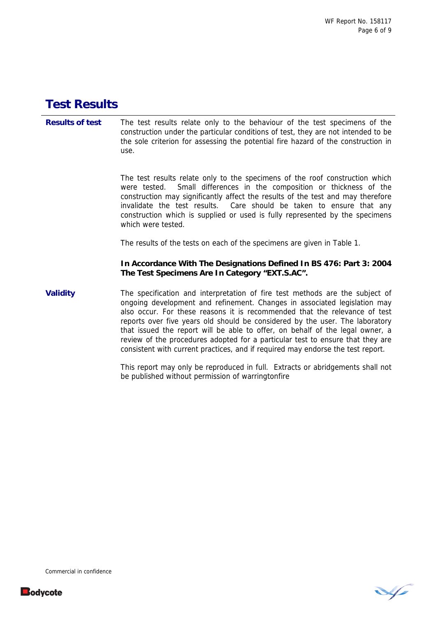## **Test Results**

**Results of test** The test results relate only to the behaviour of the test specimens of the construction under the particular conditions of test, they are not intended to be the sole criterion for assessing the potential fire hazard of the construction in use.

> The test results relate only to the specimens of the roof construction which were tested. Small differences in the composition or thickness of the construction may significantly affect the results of the test and may therefore invalidate the test results. Care should be taken to ensure that any construction which is supplied or used is fully represented by the specimens which were tested.

The results of the tests on each of the specimens are given in Table 1.

**In Accordance With The Designations Defined In BS 476: Part 3: 2004 The Test Specimens Are In Category "EXT.S.AC".** 

**Validity** The specification and interpretation of fire test methods are the subject of ongoing development and refinement. Changes in associated legislation may also occur. For these reasons it is recommended that the relevance of test reports over five years old should be considered by the user. The laboratory that issued the report will be able to offer, on behalf of the legal owner, a review of the procedures adopted for a particular test to ensure that they are consistent with current practices, and if required may endorse the test report.

> This report may only be reproduced in full. Extracts or abridgements shall not be published without permission of warringtonfire



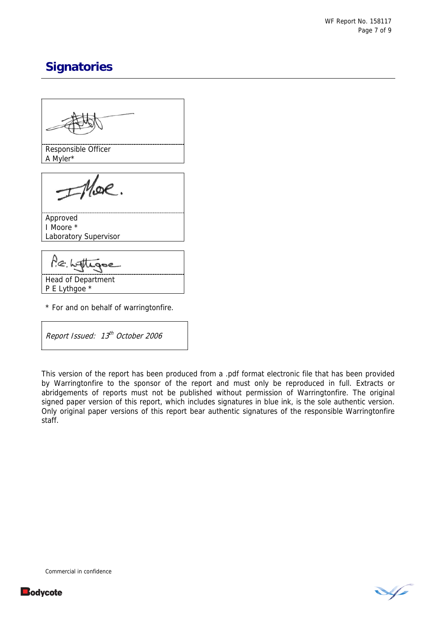# **Signatories**

Responsible Officer A Myler\* Approved I Moore \* Laboratory Supervisor  $P\in \mathcal{M}$ Head of Department P E Lythgoe \*

\* For and on behalf of warringtonfire.

Report Issued: 13<sup>th</sup> October 2006

This version of the report has been produced from a .pdf format electronic file that has been provided by Warringtonfire to the sponsor of the report and must only be reproduced in full. Extracts or abridgements of reports must not be published without permission of Warringtonfire. The original signed paper version of this report, which includes signatures in blue ink, is the sole authentic version. Only original paper versions of this report bear authentic signatures of the responsible Warringtonfire staff.

Commercial in confidence

**Bodycote** 

V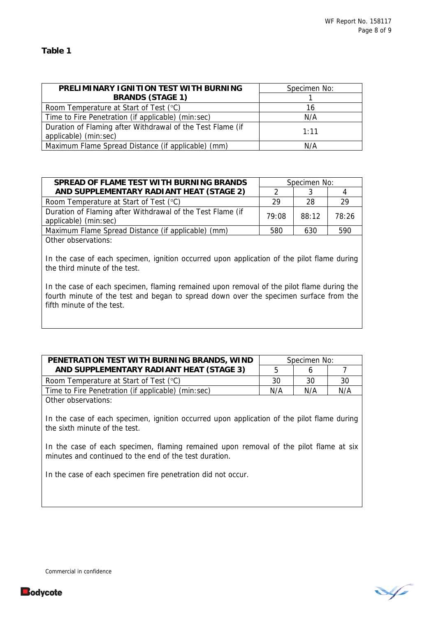| PRELIMINARY IGNITION TEST WITH BURNING                                              | Specimen No: |
|-------------------------------------------------------------------------------------|--------------|
| <b>BRANDS (STAGE 1)</b>                                                             |              |
| Room Temperature at Start of Test (°C)                                              | 16           |
| Time to Fire Penetration (if applicable) (min:sec)                                  | N/A          |
| Duration of Flaming after Withdrawal of the Test Flame (if<br>applicable) (min:sec) | 1:11         |
| Maximum Flame Spread Distance (if applicable) (mm)                                  | N/A          |

| SPREAD OF FLAME TEST WITH BURNING BRANDS                                            | Specimen No: |       |       |
|-------------------------------------------------------------------------------------|--------------|-------|-------|
| AND SUPPLEMENTARY RADIANT HEAT (STAGE 2)                                            |              |       |       |
| Room Temperature at Start of Test (°C)                                              | -29          | -28   | 29    |
| Duration of Flaming after Withdrawal of the Test Flame (if<br>applicable) (min:sec) | 79:08        | 88:12 | 78.26 |
| Maximum Flame Spread Distance (if applicable) (mm)                                  | 580          | 630   | 590   |
| Other observations:                                                                 |              |       |       |

In the case of each specimen, ignition occurred upon application of the pilot flame during the third minute of the test.

In the case of each specimen, flaming remained upon removal of the pilot flame during the fourth minute of the test and began to spread down over the specimen surface from the fifth minute of the test.

| PENETRATION TEST WITH BURNING BRANDS, WIND<br>AND SUPPLEMENTARY RADIANT HEAT (STAGE 3)                                                             |     | Specimen No: |     |  |
|----------------------------------------------------------------------------------------------------------------------------------------------------|-----|--------------|-----|--|
|                                                                                                                                                    |     | 6            |     |  |
| Room Temperature at Start of Test (°C)                                                                                                             | 30  | 30           | 30  |  |
| Time to Fire Penetration (if applicable) (min:sec)                                                                                                 | N/A | N/A          | N/A |  |
| Other observations:<br>In the case of each specimen, ignition occurred upon application of the pilot flame during<br>the sixth minute of the test. |     |              |     |  |
| In the case of each specimen, flaming remained upon removal of the pilot flame at six<br>minutes and continued to the end of the test duration.    |     |              |     |  |

In the case of each specimen fire penetration did not occur.





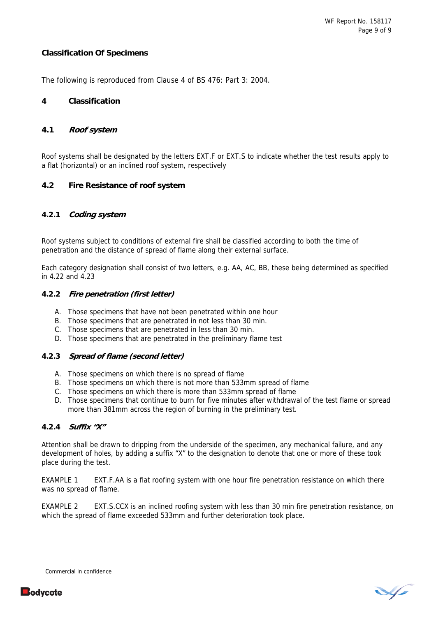#### **Classification Of Specimens**

The following is reproduced from Clause 4 of BS 476: Part 3: 2004.

#### **4 Classification**

#### **4.1 Roof system**

Roof systems shall be designated by the letters EXT.F or EXT.S to indicate whether the test results apply to a flat (horizontal) or an inclined roof system, respectively

### **4.2 Fire Resistance of roof system**

### **4.2.1 Coding system**

Roof systems subject to conditions of external fire shall be classified according to both the time of penetration and the distance of spread of flame along their external surface.

Each category designation shall consist of two letters, e.g. AA, AC, BB, these being determined as specified in 4.22 and 4.23

#### **4.2.2 Fire penetration (first letter)**

- A. Those specimens that have not been penetrated within one hour
- B. Those specimens that are penetrated in not less than 30 min.
- C. Those specimens that are penetrated in less than 30 min.
- D. Those specimens that are penetrated in the preliminary flame test

#### **4.2.3 Spread of flame (second letter)**

- A. Those specimens on which there is no spread of flame
- B. Those specimens on which there is not more than 533mm spread of flame
- C. Those specimens on which there is more than 533mm spread of flame
- D. Those specimens that continue to burn for five minutes after withdrawal of the test flame or spread more than 381mm across the region of burning in the preliminary test.

#### **4.2.4 Suffix "X"**

Attention shall be drawn to dripping from the underside of the specimen, any mechanical failure, and any development of holes, by adding a suffix "X" to the designation to denote that one or more of these took place during the test.

EXAMPLE 1 EXT.F.AA is a flat roofing system with one hour fire penetration resistance on which there was no spread of flame.

EXAMPLE 2 EXT.S.CCX is an inclined roofing system with less than 30 min fire penetration resistance, on which the spread of flame exceeded 533mm and further deterioration took place.

V